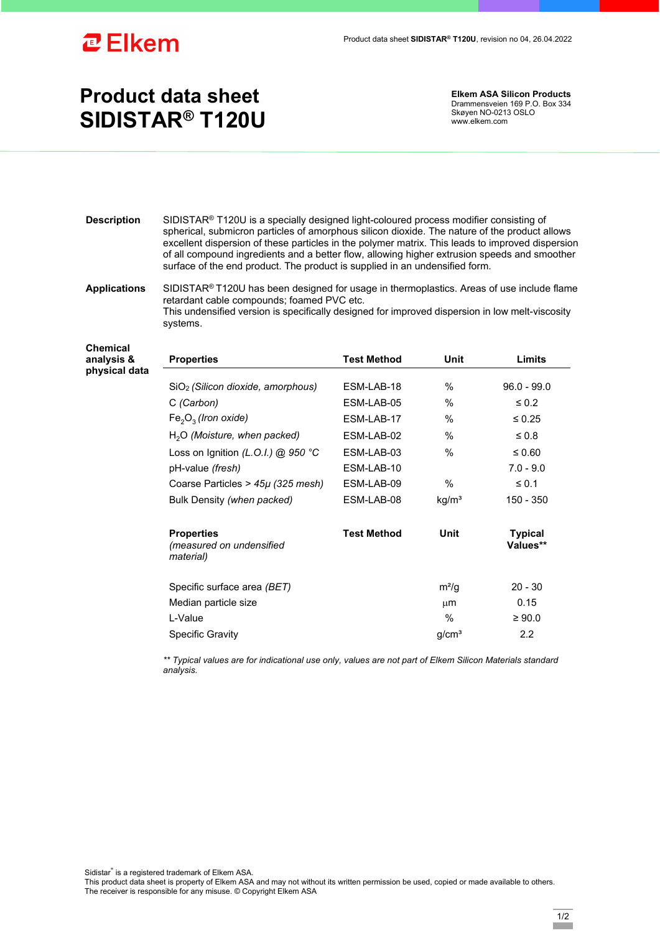

## **Product data sheet SIDISTAR® T120U**

**Elkem ASA Silicon Products**  Drammensveien 169 P.O. Box 334 Skøyen NO-0213 OSLO www.elkem.com

- **Description** SIDISTAR® T120U is a specially designed light-coloured process modifier consisting of spherical, submicron particles of amorphous silicon dioxide. The nature of the product allows excellent dispersion of these particles in the polymer matrix. This leads to improved dispersion of all compound ingredients and a better flow, allowing higher extrusion speeds and smoother surface of the end product. The product is supplied in an undensified form.
- **Applications** SIDISTAR® T120U has been designed for usage in thermoplastics. Areas of use include flame retardant cable compounds; foamed PVC etc. This undensified version is specifically designed for improved dispersion in low melt-viscosity systems.

**Chemical analysis &**  physical da

| <b>Properties</b>                                          | <b>Test Method</b> | Unit              | Limits                     |
|------------------------------------------------------------|--------------------|-------------------|----------------------------|
|                                                            |                    |                   |                            |
| SiO <sub>2</sub> (Silicon dioxide, amorphous)              | ESM-LAB-18         | %                 | $96.0 - 99.0$              |
| C (Carbon)                                                 | ESM-LAB-05         | $\%$              | $\leq 0.2$                 |
| $Fe2O3$ (Iron oxide)                                       | ESM-LAB-17         | $\%$              | $\leq 0.25$                |
| $H2O$ (Moisture, when packed)                              | ESM-LAB-02         | $\%$              | $\leq 0.8$                 |
| Loss on Ignition (L.O.I.) @ 950 °C                         | ESM-LAB-03         | $\%$              | $\leq 0.60$                |
| pH-value (fresh)                                           | ESM-LAB-10         |                   | $7.0 - 9.0$                |
| Coarse Particles > $45\mu$ (325 mesh)                      | ESM-LAB-09         | %                 | $\leq 0.1$                 |
| Bulk Density (when packed)                                 | ESM-LAB-08         | kg/m <sup>3</sup> | 150 - 350                  |
| <b>Properties</b><br>(measured on undensified<br>material) | <b>Test Method</b> | Unit              | <b>Typical</b><br>Values** |
| Specific surface area (BET)                                |                    | $m^2/q$           | $20 - 30$                  |
| Median particle size                                       |                    | μm                | 0.15                       |
| L-Value                                                    |                    | $\%$              | $\geq 90.0$                |
| <b>Specific Gravity</b>                                    |                    | g/cm <sup>3</sup> | $2.2\phantom{0}$           |

*\*\* Typical values are for indicational use only, values are not part of Elkem Silicon Materials standard analysis.* 

Sidistar® is a registered trademark of Elkem ASA.

This product data sheet is property of Elkem ASA and may not without its written permission be used, copied or made available to others. The receiver is responsible for any misuse. © Copyright Elkem ASA